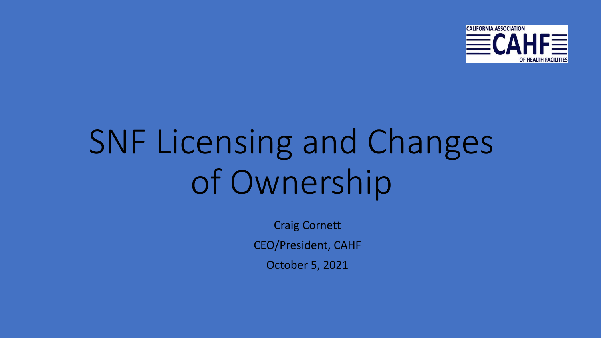

## SNF Licensing and Changes of Ownership

Craig Cornett

CEO/President, CAHF

October 5, 2021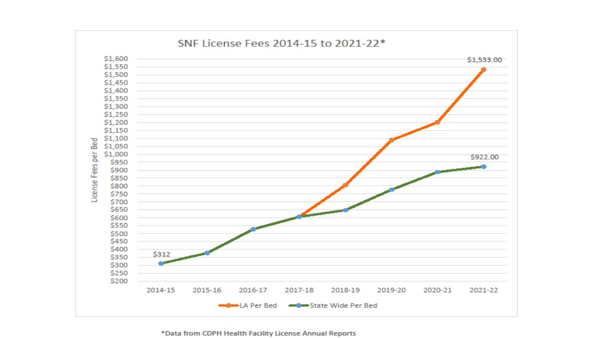

\*Data from CDPH Health Facility License Annual Reports